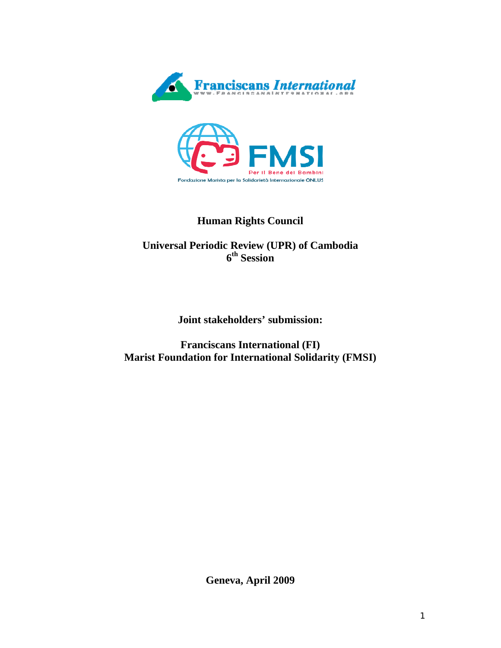



# **Human Rights Council**

# **Universal Periodic Review (UPR) of Cambodia 6th Session**

**Joint stakeholders' submission:** 

**Franciscans International (FI) Marist Foundation for International Solidarity (FMSI)** 

**Geneva, April 2009**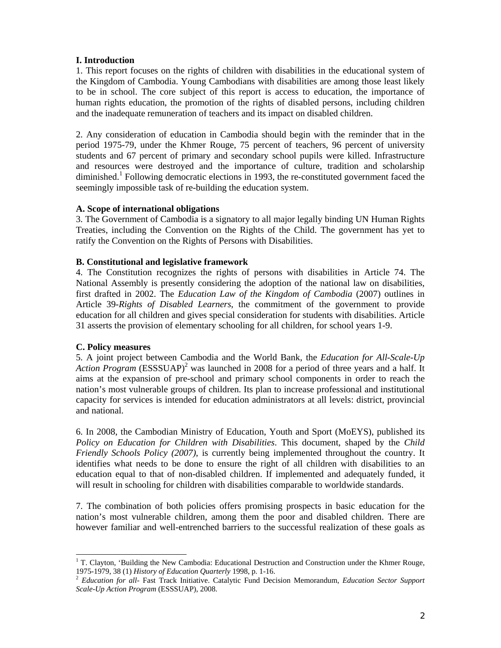## **I. Introduction**

1. This report focuses on the rights of children with disabilities in the educational system of the Kingdom of Cambodia. Young Cambodians with disabilities are among those least likely to be in school. The core subject of this report is access to education, the importance of human rights education, the promotion of the rights of disabled persons, including children and the inadequate remuneration of teachers and its impact on disabled children.

2. Any consideration of education in Cambodia should begin with the reminder that in the period 1975-79, under the Khmer Rouge, 75 percent of teachers, 96 percent of university students and 67 percent of primary and secondary school pupils were killed. Infrastructure and resources were destroyed and the importance of culture, tradition and scholarship diminished.<sup>1</sup> Following democratic elections in 1993, the re-constituted government faced the seemingly impossible task of re-building the education system.

## **A. Scope of international obligations**

3. The Government of Cambodia is a signatory to all major legally binding UN Human Rights Treaties, including the Convention on the Rights of the Child. The government has yet to ratify the Convention on the Rights of Persons with Disabilities.

## **B. Constitutional and legislative framework**

4. The Constitution recognizes the rights of persons with disabilities in Article 74. The National Assembly is presently considering the adoption of the national law on disabilities, first drafted in 2002. The *Education Law of the Kingdom of Cambodia* (2007) outlines in Article 39-*Rights of Disabled Learners*, the commitment of the government to provide education for all children and gives special consideration for students with disabilities. Article 31 asserts the provision of elementary schooling for all children, for school years 1-9.

# **C. Policy measures**

l

5. A joint project between Cambodia and the World Bank, the *Education for All*-*Scale-Up*  Action Program (ESSSUAP)<sup>2</sup> was launched in 2008 for a period of three years and a half. It aims at the expansion of pre-school and primary school components in order to reach the nation's most vulnerable groups of children. Its plan to increase professional and institutional capacity for services is intended for education administrators at all levels: district, provincial and national.

6. In 2008, the Cambodian Ministry of Education, Youth and Sport (MoEYS), published its *Policy on Education for Children with Disabilities*. This document, shaped by the *Child Friendly Schools Policy (2007)*, is currently being implemented throughout the country. It identifies what needs to be done to ensure the right of all children with disabilities to an education equal to that of non-disabled children. If implemented and adequately funded, it will result in schooling for children with disabilities comparable to worldwide standards.

7. The combination of both policies offers promising prospects in basic education for the nation's most vulnerable children, among them the poor and disabled children. There are however familiar and well-entrenched barriers to the successful realization of these goals as

<sup>&</sup>lt;sup>1</sup> T. Clayton, 'Building the New Cambodia: Educational Destruction and Construction under the Khmer Rouge, 1975-1979, 38 (1) *History of Education Quarterly* 1998, p. 1-16. 2 *Education for all*- Fast Track Initiative. Catalytic Fund Decision Memorandum, *Education Sector Support* 

*Scale-Up Action Program* (ESSSUAP), 2008.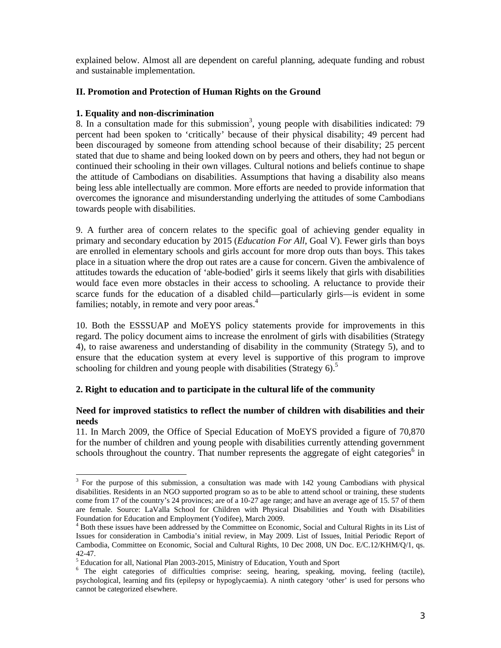explained below. Almost all are dependent on careful planning, adequate funding and robust and sustainable implementation.

# **II. Promotion and Protection of Human Rights on the Ground**

#### **1. Equality and non-discrimination**

 $\overline{a}$ 

8. In a consultation made for this submission<sup>3</sup>, young people with disabilities indicated: 79 percent had been spoken to 'critically' because of their physical disability; 49 percent had been discouraged by someone from attending school because of their disability; 25 percent stated that due to shame and being looked down on by peers and others, they had not begun or continued their schooling in their own villages. Cultural notions and beliefs continue to shape the attitude of Cambodians on disabilities. Assumptions that having a disability also means being less able intellectually are common. More efforts are needed to provide information that overcomes the ignorance and misunderstanding underlying the attitudes of some Cambodians towards people with disabilities.

9. A further area of concern relates to the specific goal of achieving gender equality in primary and secondary education by 2015 (*Education For All*, Goal V). Fewer girls than boys are enrolled in elementary schools and girls account for more drop outs than boys. This takes place in a situation where the drop out rates are a cause for concern. Given the ambivalence of attitudes towards the education of 'able-bodied' girls it seems likely that girls with disabilities would face even more obstacles in their access to schooling. A reluctance to provide their scarce funds for the education of a disabled child—particularly girls—is evident in some families; notably, in remote and very poor areas.<sup>4</sup>

10. Both the ESSSUAP and MoEYS policy statements provide for improvements in this regard. The policy document aims to increase the enrolment of girls with disabilities (Strategy 4), to raise awareness and understanding of disability in the community (Strategy 5), and to ensure that the education system at every level is supportive of this program to improve schooling for children and young people with disabilities (Strategy 6).<sup>5</sup>

# **2. Right to education and to participate in the cultural life of the community**

## **Need for improved statistics to reflect the number of children with disabilities and their needs**

11. In March 2009, the Office of Special Education of MoEYS provided a figure of 70,870 for the number of children and young people with disabilities currently attending government schools throughout the country. That number represents the aggregate of eight categories<sup>6</sup> in

 $3$  For the purpose of this submission, a consultation was made with 142 young Cambodians with physical disabilities. Residents in an NGO supported program so as to be able to attend school or training, these students come from 17 of the country's 24 provinces; are of a 10-27 age range; and have an average age of 15. 57 of them are female. Source: LaValla School for Children with Physical Disabilities and Youth with Disabilities Foundation for Education and Employment (Yodifee), March 2009.

<sup>&</sup>lt;sup>4</sup> Both these issues have been addressed by the Committee on Economic, Social and Cultural Rights in its List of Issues for consideration in Cambodia's initial review, in May 2009. List of Issues, Initial Periodic Report of Cambodia, Committee on Economic, Social and Cultural Rights, 10 Dec 2008, UN Doc. E/C.12/KHM/Q/1, qs. 42-47.

<sup>&</sup>lt;sup>5</sup> Education for all, National Plan 2003-2015, Ministry of Education, Youth and Sport

<sup>&</sup>lt;sup>6</sup> The eight categories of difficulties comprise: seeing, hearing, speaking, moving, feeling (tactile), psychological, learning and fits (epilepsy or hypoglycaemia). A ninth category 'other' is used for persons who cannot be categorized elsewhere.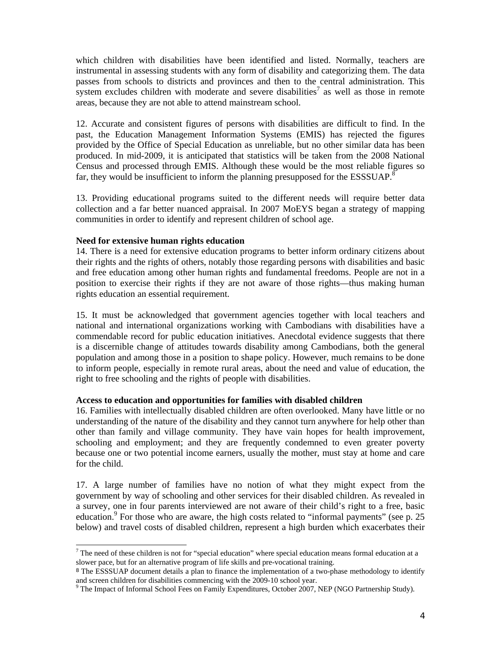which children with disabilities have been identified and listed. Normally, teachers are instrumental in assessing students with any form of disability and categorizing them. The data passes from schools to districts and provinces and then to the central administration. This system excludes children with moderate and severe disabilities<sup>7</sup> as well as those in remote areas, because they are not able to attend mainstream school.

12. Accurate and consistent figures of persons with disabilities are difficult to find. In the past, the Education Management Information Systems (EMIS) has rejected the figures provided by the Office of Special Education as unreliable, but no other similar data has been produced. In mid-2009, it is anticipated that statistics will be taken from the 2008 National Census and processed through EMIS. Although these would be the most reliable figures so far, they would be insufficient to inform the planning presupposed for the ESSSUAP. $8^{\circ}$ 

13. Providing educational programs suited to the different needs will require better data collection and a far better nuanced appraisal. In 2007 MoEYS began a strategy of mapping communities in order to identify and represent children of school age.

#### **Need for extensive human rights education**

 $\overline{a}$ 

14. There is a need for extensive education programs to better inform ordinary citizens about their rights and the rights of others, notably those regarding persons with disabilities and basic and free education among other human rights and fundamental freedoms. People are not in a position to exercise their rights if they are not aware of those rights—thus making human rights education an essential requirement.

15. It must be acknowledged that government agencies together with local teachers and national and international organizations working with Cambodians with disabilities have a commendable record for public education initiatives. Anecdotal evidence suggests that there is a discernible change of attitudes towards disability among Cambodians, both the general population and among those in a position to shape policy. However, much remains to be done to inform people, especially in remote rural areas, about the need and value of education, the right to free schooling and the rights of people with disabilities.

#### **Access to education and opportunities for families with disabled children**

16. Families with intellectually disabled children are often overlooked. Many have little or no understanding of the nature of the disability and they cannot turn anywhere for help other than other than family and village community. They have vain hopes for health improvement, schooling and employment; and they are frequently condemned to even greater poverty because one or two potential income earners, usually the mother, must stay at home and care for the child.

17. A large number of families have no notion of what they might expect from the government by way of schooling and other services for their disabled children. As revealed in a survey, one in four parents interviewed are not aware of their child's right to a free, basic education.<sup>9</sup> For those who are aware, the high costs related to "informal payments" (see p. 25 below) and travel costs of disabled children, represent a high burden which exacerbates their

 $<sup>7</sup>$  The need of these children is not for "special education" where special education means formal education at a</sup> slower pace, but for an alternative program of life skills and pre-vocational training.

<sup>&</sup>lt;sup>8</sup> The ESSSUAP document details a plan to finance the implementation of a two-phase methodology to identify and screen children for disabilities commencing with the 2009-10 school year.

<sup>&</sup>lt;sup>9</sup> The Impact of Informal School Fees on Family Expenditures, October 2007, NEP (NGO Partnership Study).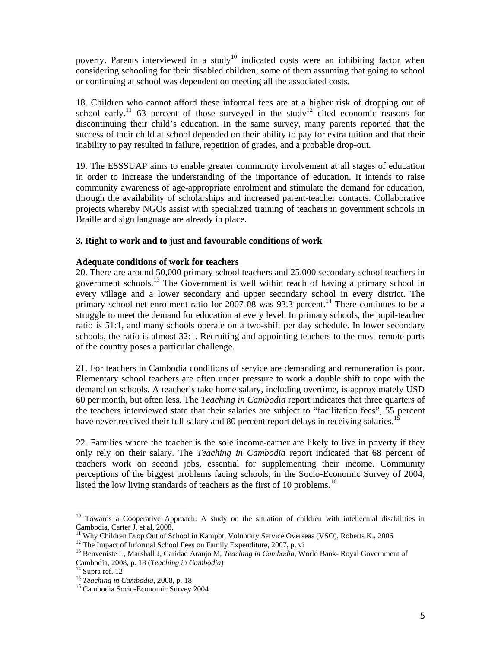poverty. Parents interviewed in a study<sup>10</sup> indicated costs were an inhibiting factor when considering schooling for their disabled children; some of them assuming that going to school or continuing at school was dependent on meeting all the associated costs.

18. Children who cannot afford these informal fees are at a higher risk of dropping out of school early.<sup>11</sup> 63 percent of those surveyed in the study<sup>12</sup> cited economic reasons for discontinuing their child's education. In the same survey, many parents reported that the success of their child at school depended on their ability to pay for extra tuition and that their inability to pay resulted in failure, repetition of grades, and a probable drop-out.

19. The ESSSUAP aims to enable greater community involvement at all stages of education in order to increase the understanding of the importance of education. It intends to raise community awareness of age-appropriate enrolment and stimulate the demand for education, through the availability of scholarships and increased parent-teacher contacts. Collaborative projects whereby NGOs assist with specialized training of teachers in government schools in Braille and sign language are already in place.

## **3. Right to work and to just and favourable conditions of work**

#### **Adequate conditions of work for teachers**

20. There are around 50,000 primary school teachers and 25,000 secondary school teachers in government schools.13 The Government is well within reach of having a primary school in every village and a lower secondary and upper secondary school in every district. The primary school net enrolment ratio for 2007-08 was 93.3 percent.<sup>14</sup> There continues to be a struggle to meet the demand for education at every level. In primary schools, the pupil-teacher ratio is 51:1, and many schools operate on a two-shift per day schedule. In lower secondary schools, the ratio is almost 32:1. Recruiting and appointing teachers to the most remote parts of the country poses a particular challenge.

21. For teachers in Cambodia conditions of service are demanding and remuneration is poor. Elementary school teachers are often under pressure to work a double shift to cope with the demand on schools. A teacher's take home salary, including overtime, is approximately USD 60 per month, but often less. The *Teaching in Cambodia* report indicates that three quarters of the teachers interviewed state that their salaries are subject to "facilitation fees", 55 percent have never received their full salary and 80 percent report delays in receiving salaries.<sup>1</sup>

22. Families where the teacher is the sole income-earner are likely to live in poverty if they only rely on their salary. The *Teaching in Cambodia* report indicated that 68 percent of teachers work on second jobs, essential for supplementing their income. Community perceptions of the biggest problems facing schools, in the Socio-Economic Survey of 2004, listed the low living standards of teachers as the first of 10 problems.<sup>16</sup>

l

<sup>&</sup>lt;sup>10</sup> Towards a Cooperative Approach: A study on the situation of children with intellectual disabilities in Cambodia, Carter J. et al, 2008.

<sup>&</sup>lt;sup>11</sup> Why Children Drop Out of School in Kampot, Voluntary Service Overseas (VSO), Roberts K., 2006<sup>12</sup> The Impact of Informal School Fees on Family Expenditure, 2007, p. vi

<sup>&</sup>lt;sup>13</sup> Benveniste L, Marshall J, Caridad Araujo M, *Teaching in Cambodia*, World Bank- Royal Government of Cambodia, 2008, p. 18 (*Teaching in Cambodia*) Cambodia, 2008, p. 18 (*Teaching in Cambodia*) 14 Supra ref. 12

<sup>&</sup>lt;sup>15</sup> *Teaching in Cambodia*, 2008, p. 18<br><sup>16</sup> Cambodia Socio-Economic Survey 2004